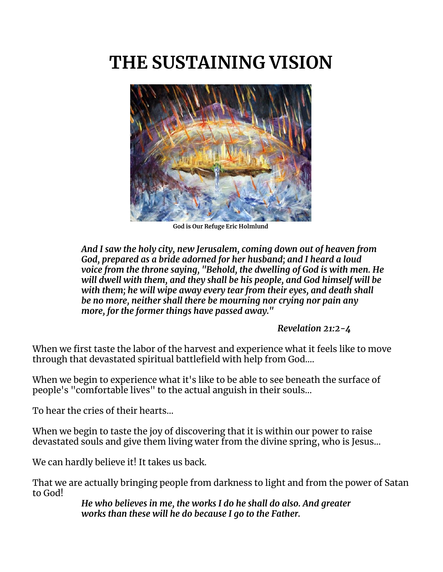# **THE SUSTAINING VISION**



**God is Our Refuge Eric Holmlund**

*And I saw the holy city, new Jerusalem, coming down out of heaven from God, prepared as a bride adorned for her husband; and I heard a loud voice from the throne saying, "Behold, the dwelling of God is with men. He will dwell with them, and they shall be his people, and God himself will be with them; he will wipe away every tear from their eyes, and death shall be no more, neither shall there be mourning nor crying nor pain any more, for the former things have passed away."*

*Revelation 21:2-4*

When we first taste the labor of the harvest and experience what it feels like to move through that devastated spiritual battlefield with help from God….

When we begin to experience what it's like to be able to see beneath the surface of people's "comfortable lives" to the actual anguish in their souls…

To hear the cries of their hearts…

When we begin to taste the joy of discovering that it is within our power to raise devastated souls and give them living water from the divine spring, who is Jesus…

We can hardly believe it! It takes us back.

That we are actually bringing people from darkness to light and from the power of Satan to God!

*He who believes in me, the works I do he shall do also. And greater works than these will he do because I go to the Father.*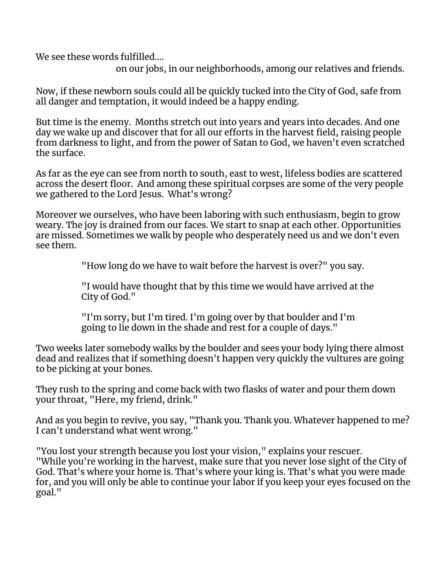We see these words fulfilled....

on our jobs, in our neighborhoods, among our relatives and friends.

Now, if these newborn souls could all be quickly tucked into the City of God, safe from all danger and temptation, it would indeed be a happy ending.

But time is the enemy. Months stretch out into years and years into decades. And one day we wake up and discover that for all our efforts in the harvest field, raising people from darkness to light, and from the power of Satan to God, we haven't even scratched the surface.

As far as the eye can see from north to south, east to west, lifeless bodies are scattered across the desert floor. And among these spiritual corpses are some of the very people we gathered to the Lord Jesus. What's wrong?

Moreover we ourselves, who have been laboring with such enthusiasm, begin to grow weary. The joy is drained from our faces. We start to snap at each other. Opportunities are missed. Sometimes we walk by people who desperately need us and we don't even see them.

"How long do we have to wait before the harvest is over?" you say.

"I would have thought that by this time we would have arrived at the City of God."

"I'm sorry, but I'm tired. I'm going over by that boulder and I'm going to lie down in the shade and rest for a couple of days."

Two weeks later somebody walks by the boulder and sees your body lying there almost dead and realizes that if something doesn't happen very quickly the vultures are going to be picking at your bones.

They rush to the spring and come back with two flasks of water and pour them down your throat, "Here, my friend, drink."

And as you begin to revive, you say, "Thank you. Thank you. Whatever happened to me? I can't understand what went wrong."

"You lost your strength because you lost your vision," explains your rescuer. "While you're working in the harvest, make sure that you never lose sight of the City of God. That's where your home is. That's where your king is. That's what you were made for, and you will only be able to continue your labor if you keep your eyes focused on the goal."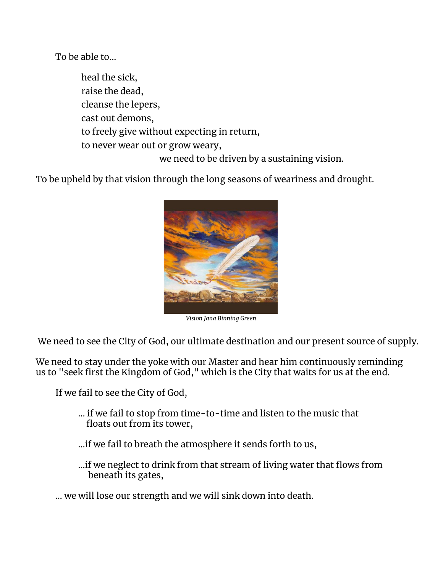To be able to…

heal the sick, raise the dead, cleanse the lepers, cast out demons, to freely give without expecting in return, to never wear out or grow weary, we need to be driven by a sustaining vision.

To be upheld by that vision through the long seasons of weariness and drought.



*Vision Jana Binning Green*

We need to see the City of God, our ultimate destination and our present source of supply.

We need to stay under the yoke with our Master and hear him continuously reminding us to "seek first the Kingdom of God," which is the City that waits for us at the end.

If we fail to see the City of God,

… if we fail to stop from time-to-time and listen to the music that floats out from its tower,

…if we fail to breath the atmosphere it sends forth to us,

…if we neglect to drink from that stream of living water that flows from beneath its gates,

… we will lose our strength and we will sink down into death.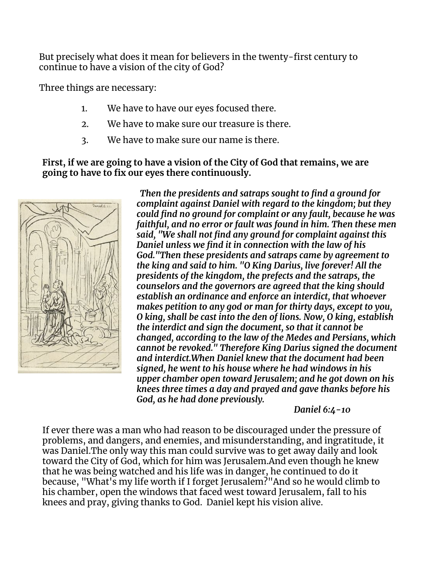But precisely what does it mean for believers in the twenty-first century to continue to have a vision of the city of God?

Three things are necessary:

- 1. We have to have our eyes focused there.
- 2. We have to make sure our treasure is there.
- 3. We have to make sure our name is there.

**First, if we are going to have a vision of the City of God that remains, we are going to have to fix our eyes there continuously.**



*Then the presidents and satraps sought to find a ground for complaint against Daniel with regard to the kingdom; but they could find no ground for complaint or any fault, because he was faithful, and no error or fault was found in him. Then these men said, "We shall not find any ground for complaint against this Daniel unless we find it in connection with the law of his God."Then these presidents and satraps came by agreement to the king and said to him. "O King Darius, live forever! All the presidents of the kingdom, the prefects and the satraps, the counselors and the governors are agreed that the king should establish an ordinance and enforce an interdict, that whoever makes petition to any god or man for thirty days, except to you, O king, shall be cast into the den of lions. Now, O king, establish the interdict and sign the document, so that it cannot be changed, according to the law of the Medes and Persians, which cannot be revoked." Therefore King Darius signed the document and interdict.When Daniel knew that the document had been signed, he went to his house where he had windows in his upper chamber open toward Jerusalem; and he got down on his knees three times a day and prayed and gave thanks before his God, as he had done previously.*

*Daniel 6:4-10*

If ever there was a man who had reason to be discouraged under the pressure of problems, and dangers, and enemies, and misunderstanding, and ingratitude, it was Daniel.The only way this man could survive was to get away daily and look toward the City of God, which for him was Jerusalem.And even though he knew that he was being watched and his life was in danger, he continued to do it because, "What's my life worth if I forget Jerusalem?"And so he would climb to his chamber, open the windows that faced west toward Jerusalem, fall to his knees and pray, giving thanks to God. Daniel kept his vision alive.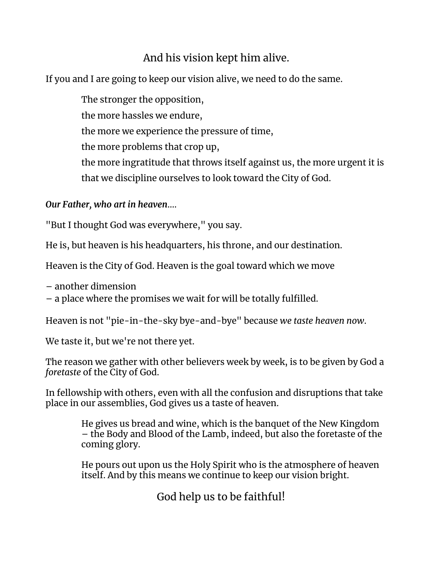## And his vision kept him alive.

If you and I are going to keep our vision alive, we need to do the same.

The stronger the opposition, the more hassles we endure, the more we experience the pressure of time, the more problems that crop up, the more ingratitude that throws itself against us, the more urgent it is that we discipline ourselves to look toward the City of God.

### *Our Father, who art in heaven*….

"But I thought God was everywhere," you say.

He is, but heaven is his headquarters, his throne, and our destination.

Heaven is the City of God. Heaven is the goal toward which we move

– another dimension

– a place where the promises we wait for will be totally fulfilled.

Heaven is not "pie-in-the-sky bye-and-bye" because *we taste heaven now*.

We taste it, but we're not there yet.

The reason we gather with other believers week by week, is to be given by God a *foretaste* of the City of God.

In fellowship with others, even with all the confusion and disruptions that take place in our assemblies, God gives us a taste of heaven.

> He gives us bread and wine, which is the banquet of the New Kingdom – the Body and Blood of the Lamb, indeed, but also the foretaste of the coming glory.

> He pours out upon us the Holy Spirit who is the atmosphere of heaven itself. And by this means we continue to keep our vision bright.

> > God help us to be faithful!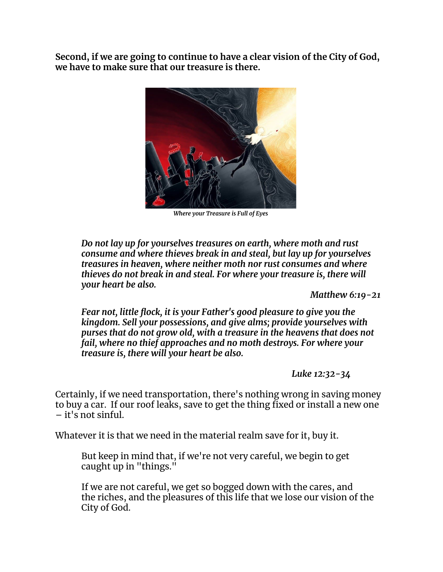**Second, if we are going to continue to have a clear vision of the City of God, we have to make sure that our treasure is there.**



*Where your Treasure is Full of Eyes*

*Do not lay up for yourselves treasures on earth, where moth and rust consume and where thieves break in and steal, but lay up for yourselves treasures in heaven, where neither moth nor rust consumes and where thieves do not break in and steal. For where your treasure is, there will your heart be also.*

*Matthew 6:19-21*

*Fear not, little flock, it is your Father's good pleasure to give you the kingdom. Sell your possessions, and give alms; provide yourselves with purses that do not grow old, with a treasure in the heavens that does not fail, where no thief approaches and no moth destroys. For where your treasure is, there will your heart be also.*

*Luke 12:32-34*

Certainly, if we need transportation, there's nothing wrong in saving money to buy a car. If our roof leaks, save to get the thing fixed or install a new one – it's not sinful.

Whatever it is that we need in the material realm save for it, buy it.

But keep in mind that, if we're not very careful, we begin to get caught up in "things."

If we are not careful, we get so bogged down with the cares, and the riches, and the pleasures of this life that we lose our vision of the City of God.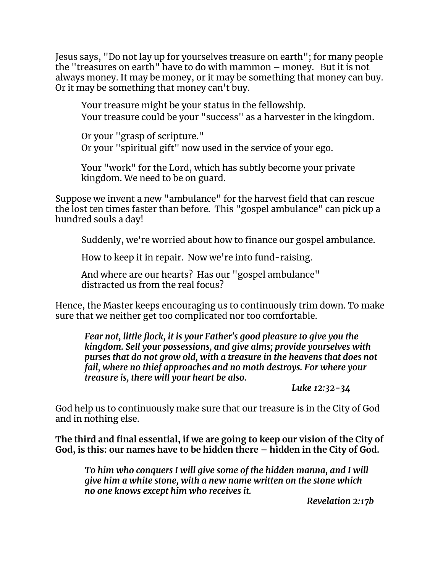Jesus says, "Do not lay up for yourselves treasure on earth"; for many people the "treasures on earth" have to do with mammon – money. But it is not always money. It may be money, or it may be something that money can buy. Or it may be something that money can't buy.

Your treasure might be your status in the fellowship. Your treasure could be your "success" as a harvester in the kingdom.

Or your "grasp of scripture." Or your "spiritual gift" now used in the service of your ego.

Your "work" for the Lord, which has subtly become your private kingdom. We need to be on guard.

Suppose we invent a new "ambulance" for the harvest field that can rescue the lost ten times faster than before. This "gospel ambulance" can pick up a hundred souls a day!

Suddenly, we're worried about how to finance our gospel ambulance.

How to keep it in repair. Now we're into fund-raising.

And where are our hearts? Has our "gospel ambulance" distracted us from the real focus?

Hence, the Master keeps encouraging us to continuously trim down. To make sure that we neither get too complicated nor too comfortable.

*Fear not, little flock, it is your Father's good pleasure to give you the kingdom. Sell your possessions, and give alms; provide yourselves with purses that do not grow old, with a treasure in the heavens that does not fail, where no thief approaches and no moth destroys. For where your treasure is, there will your heart be also.*

*Luke 12:32-34*

God help us to continuously make sure that our treasure is in the City of God and in nothing else.

**The third and final essential, if we are going to keep our vision of the City of God, is this: our names have to be hidden there – hidden in the City of God.**

*To him who conquers I will give some of the hidden manna, and I will give him a white stone, with a new name written on the stone which no one knows except him who receives it.*

*Revelation 2:17b*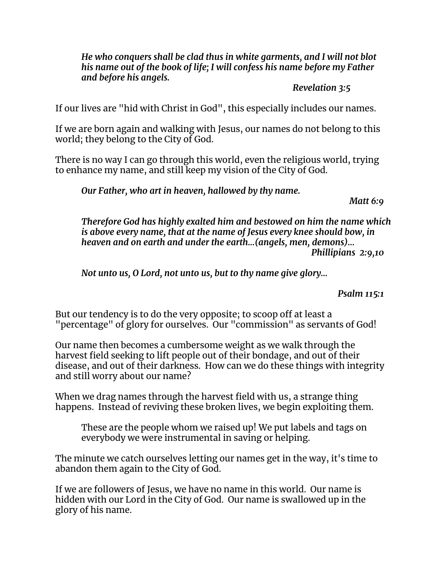*He who conquers shall be clad thus in white garments, and I will not blot his name out of the book of life; I will confess his name before my Father and before his angels.*

#### *Revelation 3:5*

If our lives are "hid with Christ in God", this especially includes our names.

If we are born again and walking with Jesus, our names do not belong to this world; they belong to the City of God.

There is no way I can go through this world, even the religious world, trying to enhance my name, and still keep my vision of the City of God.

*Our Father, who art in heaven, hallowed by thy name.*

*Matt 6:9*

*Therefore God has highly exalted him and bestowed on him the name which is above every name, that at the name of Jesus every knee should bow, in heaven and on earth and under the earth…(angels, men, demons)… Phillipians 2:9,10*

*Not unto us, O Lord, not unto us, but to thy name give glory…*

#### *Psalm 115:1*

But our tendency is to do the very opposite; to scoop off at least a "percentage" of glory for ourselves. Our "commission" as servants of God!

Our name then becomes a cumbersome weight as we walk through the harvest field seeking to lift people out of their bondage, and out of their disease, and out of their darkness. How can we do these things with integrity and still worry about our name?

When we drag names through the harvest field with us, a strange thing happens. Instead of reviving these broken lives, we begin exploiting them.

These are the people whom we raised up! We put labels and tags on everybody we were instrumental in saving or helping.

The minute we catch ourselves letting our names get in the way, it's time to abandon them again to the City of God.

If we are followers of Jesus, we have no name in this world. Our name is hidden with our Lord in the City of God. Our name is swallowed up in the glory of his name.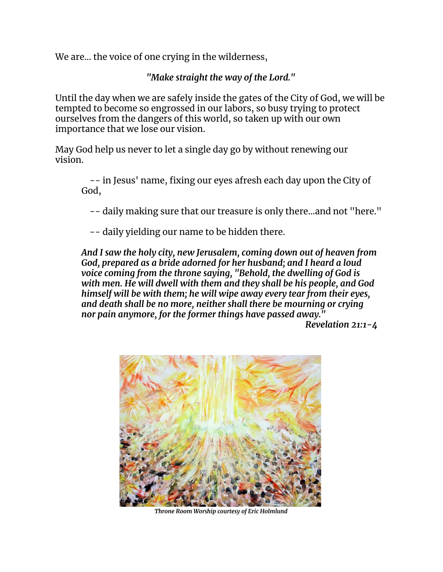We are… the voice of one crying in the wilderness,

*"Make straight the way of the Lord."*

Until the day when we are safely inside the gates of the City of God, we will be tempted to become so engrossed in our labors, so busy trying to protect ourselves from the dangers of this world, so taken up with our own importance that we lose our vision.

May God help us never to let a single day go by without renewing our vision.

-- in Jesus' name, fixing our eyes afresh each day upon the City of God,

-- daily making sure that our treasure is only there…and not "here."

-- daily yielding our name to be hidden there.

*And I saw the holy city, new Jerusalem, coming down out of heaven from God, prepared as a bride adorned for her husband; and I heard a loud voice coming from the throne saying, "Behold, the dwelling of God is with men. He will dwell with them and they shall be his people, and God himself will be with them; he will wipe away every tear from their eyes, and death shall be no more, neither shall there be mourning or crying nor pain anymore, for the former things have passed away."*

*Revelation 21:1-4*



*Throne Room Worship courtesy of Eric Holmlund*